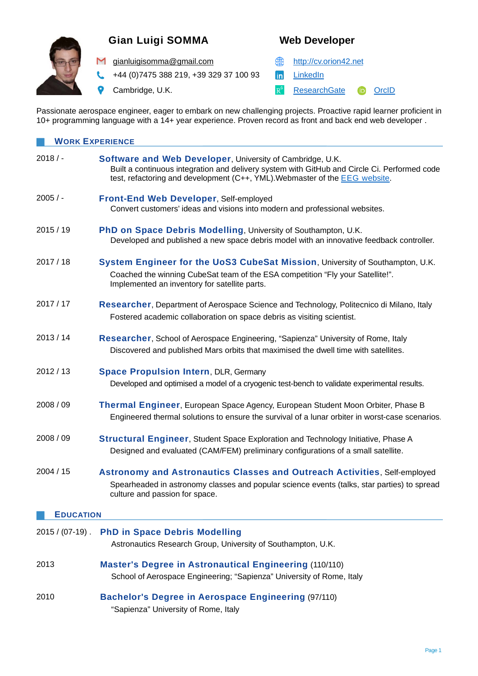

# **Gian Luigi SOMMA Web Developer**

M [gianluigisomma@gmail.com](mailto:gianluigisomma@gmail.com) **example 10** [http://cv.orion42.net](http://cv.orion42.net/)

+44 (0)7475 388 219, +39 329 37 100 93 hin [LinkedIn](https://www.linkedin.com/in/gianluigisomma/)

Cambridge, U.K. **[ResearchGate](https://www.researchgate.net/profile/Gian_Luigi_Somma)** [OrcID](https://orcid.org/0000-0003-0383-5719)

Passionate aerospace engineer, eager to embark on new challenging projects. Proactive rapid learner proficient in 10+ programming language with a 14+ year experience. Proven record as front and back end web developer .

| <b>WORK EXPERIENCE</b> |                                                                                                                                                                                                                                                        |  |
|------------------------|--------------------------------------------------------------------------------------------------------------------------------------------------------------------------------------------------------------------------------------------------------|--|
| $2018/$ -              | <b>Software and Web Developer, University of Cambridge, U.K.</b><br>Built a continuous integration and delivery system with GitHub and Circle Ci. Performed code<br>test, refactoring and development (C++, YML). Webmaster of the <b>EEG</b> website. |  |
| $2005/$ -              | <b>Front-End Web Developer, Self-employed</b><br>Convert customers' ideas and visions into modern and professional websites.                                                                                                                           |  |
| 2015 / 19              | PhD on Space Debris Modelling, University of Southampton, U.K.<br>Developed and published a new space debris model with an innovative feedback controller.                                                                                             |  |
| 2017/18                | System Engineer for the UoS3 CubeSat Mission, University of Southampton, U.K.<br>Coached the winning CubeSat team of the ESA competition "Fly your Satellite!".<br>Implemented an inventory for satellite parts.                                       |  |
| 2017/17                | Researcher, Department of Aerospace Science and Technology, Politecnico di Milano, Italy<br>Fostered academic collaboration on space debris as visiting scientist.                                                                                     |  |
| 2013/14                | Researcher, School of Aerospace Engineering, "Sapienza" University of Rome, Italy<br>Discovered and published Mars orbits that maximised the dwell time with satellites.                                                                               |  |
| 2012 / 13              | <b>Space Propulsion Intern, DLR, Germany</b><br>Developed and optimised a model of a cryogenic test-bench to validate experimental results.                                                                                                            |  |
| 2008 / 09              | Thermal Engineer, European Space Agency, European Student Moon Orbiter, Phase B<br>Engineered thermal solutions to ensure the survival of a lunar orbiter in worst-case scenarios.                                                                     |  |
| 2008 / 09              | <b>Structural Engineer, Student Space Exploration and Technology Initiative, Phase A</b><br>Designed and evaluated (CAM/FEM) preliminary configurations of a small satellite.                                                                          |  |
| 2004 / 15              | <b>Astronomy and Astronautics Classes and Outreach Activities, Self-employed</b><br>Spearheaded in astronomy classes and popular science events (talks, star parties) to spread<br>culture and passion for space.                                      |  |
| <b>EDUCATION</b>       |                                                                                                                                                                                                                                                        |  |
| $2015 / (07-19)$ .     | <b>PhD in Space Debris Modelling</b><br>Astronautics Research Group, University of Southampton, U.K.                                                                                                                                                   |  |
| 2013                   | <b>Master's Degree in Astronautical Engineering (110/110)</b><br>School of Aerospace Engineering; "Sapienza" University of Rome, Italy                                                                                                                 |  |
| 2010                   | <b>Bachelor's Degree in Aerospace Engineering (97/110)</b>                                                                                                                                                                                             |  |